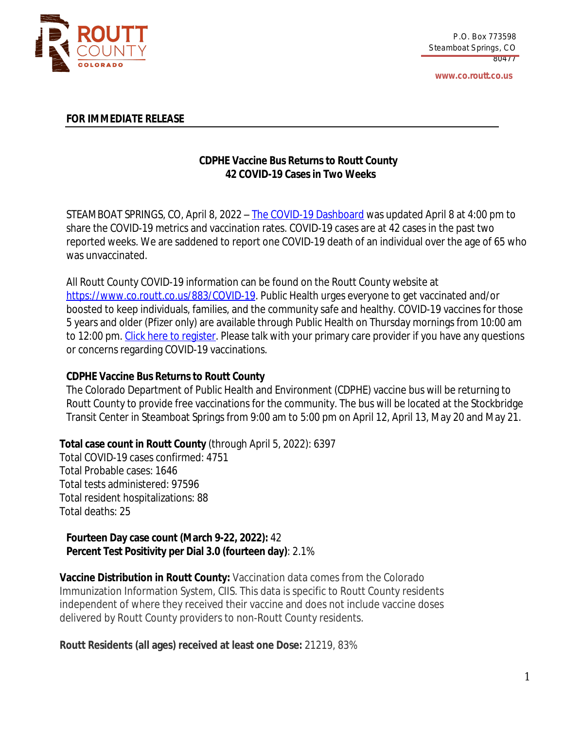

**www.co.routt.co.us**

## **FOR IMMEDIATE RELEASE**

# **CDPHE Vaccine Bus Returns to Routt County 42 COVID-19 Cases in Two Weeks**

STEAMBOAT SPRINGS, CO, April 8, 2022 – The COVID-19 [Dashboard](https://routtco-publichealth.shinyapps.io/COVID19-Dashboard/) was [updated](https://routtco-publichealth.shinyapps.io/COVID19-Dashboard/) [April](https://routtco-publichealth.shinyapps.io/COVID19-Dashboard/) 8 [at](https://routtco-publichealth.shinyapps.io/COVID19-Dashboard/) [4:00](https://routtco-publichealth.shinyapps.io/COVID19-Dashboard/) [pm](https://routtco-publichealth.shinyapps.io/COVID19-Dashboard/) [to](https://routtco-publichealth.shinyapps.io/COVID19-Dashboard/) [share](https://routtco-publichealth.shinyapps.io/COVID19-Dashboard/) [the](https://routtco-publichealth.shinyapps.io/COVID19-Dashboard/) COVID-19 metrics and [vaccination](https://routtco-publichealth.shinyapps.io/COVID19-Dashboard/) rates[.](https://routtco-publichealth.shinyapps.io/COVID19-Dashboard/) [COVID-19](https://routtco-publichealth.shinyapps.io/COVID19-Dashboard/) cases are [at](https://routtco-publichealth.shinyapps.io/COVID19-Dashboard/) [42](https://routtco-publichealth.shinyapps.io/COVID19-Dashboard/) [cases](https://routtco-publichealth.shinyapps.io/COVID19-Dashboard/) in [the](https://routtco-publichealth.shinyapps.io/COVID19-Dashboard/) [past](https://routtco-publichealth.shinyapps.io/COVID19-Dashboard/) two [reported](https://routtco-publichealth.shinyapps.io/COVID19-Dashboard/) week[s.](https://routtco-publichealth.shinyapps.io/COVID19-Dashboard/) We are [saddened](https://routtco-publichealth.shinyapps.io/COVID19-Dashboard/) to report one COVID-19 death of an individual [over](https://routtco-publichealth.shinyapps.io/COVID19-Dashboard/) the age of 65 [who](https://routtco-publichealth.shinyapps.io/COVID19-Dashboard/) was [unvaccinated.](https://routtco-publichealth.shinyapps.io/COVID19-Dashboard/)

[All](https://routtco-publichealth.shinyapps.io/COVID19-Dashboard/) Routt County [COVID-19](https://routtco-publichealth.shinyapps.io/COVID19-Dashboard/) [information](https://routtco-publichealth.shinyapps.io/COVID19-Dashboard/) can be found on the Routt County website [at](https://routtco-publichealth.shinyapps.io/COVID19-Dashboard/) <https://www.co.routt.co.us/883/COVID-19>. Public Health urges everyone to get vaccinated and/or boosted to keep individuals, families, and the community safe and healthy. COVID-19 vaccines for those 5 years and older (Pfizer only) are available through Public Health on Thursday mornings from 10:00 am to 12:00 pm. Click here to [register](https://cloud7.curemd.com/patientportal/curepatienthome.aspx?routt). Please talk with your primary care provider if you have any questions or concerns regarding COVID-19 vaccinations.

## **CDPHE Vaccine Bus Returns to Routt County**

The Colorado Department of Public Health and Environment (CDPHE) vaccine bus will be returning to Routt County to provide free vaccinations for the community. The bus will be located at the Stockbridge Transit Center in Steamboat Springs from 9:00 am to 5:00 pm on April 12, April 13, May 20 and May 21.

**Total case count in Routt County** (through April 5, 2022): 6397

Total COVID-19 cases confirmed: 4751 Total Probable cases: 1646 Total tests administered: 97596 Total resident hospitalizations: 88 Total deaths: 25

# **Fourteen Day case count (March 9-22, 2022):** 42 **Percent Test Positivity per Dial 3.0 (fourteen day)**: 2.1%

**Vaccine Distribution in Routt County:** Vaccination data comes from the Colorado Immunization Information System, CIIS. This data is specific to Routt County residents independent of where they received their vaccine and does not include vaccine doses delivered by Routt County providers to non-Routt County residents.

**Routt Residents (all ages) received at least one Dose:** 21219, 83%